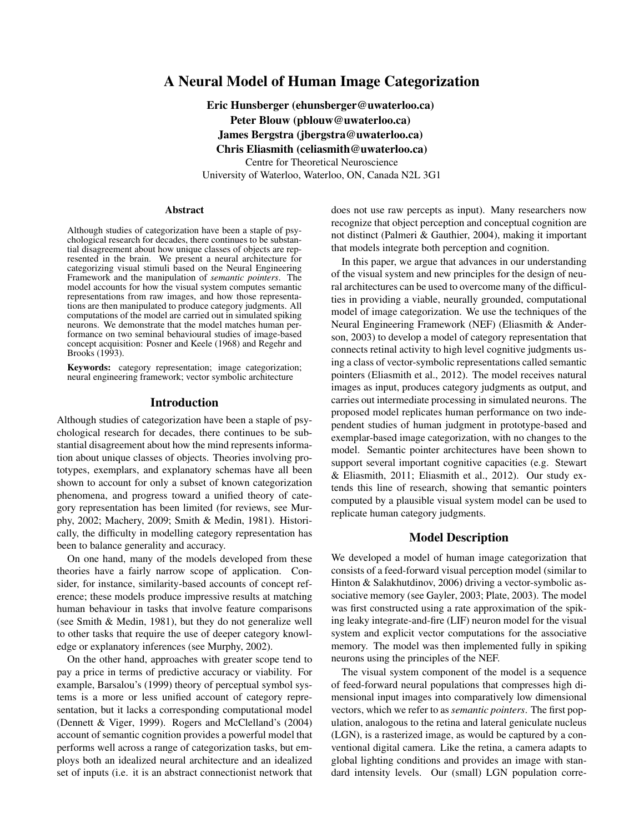# A Neural Model of Human Image Categorization

Eric Hunsberger (ehunsberger@uwaterloo.ca) Peter Blouw (pblouw@uwaterloo.ca) James Bergstra (jbergstra@uwaterloo.ca) Chris Eliasmith (celiasmith@uwaterloo.ca) Centre for Theoretical Neuroscience University of Waterloo, Waterloo, ON, Canada N2L 3G1

#### Abstract

Although studies of categorization have been a staple of psychological research for decades, there continues to be substantial disagreement about how unique classes of objects are represented in the brain. We present a neural architecture for categorizing visual stimuli based on the Neural Engineering Framework and the manipulation of *semantic pointers*. The model accounts for how the visual system computes semantic representations from raw images, and how those representations are then manipulated to produce category judgments. All computations of the model are carried out in simulated spiking neurons. We demonstrate that the model matches human performance on two seminal behavioural studies of image-based concept acquisition: Posner and Keele (1968) and Regehr and Brooks (1993).

Keywords: category representation; image categorization; neural engineering framework; vector symbolic architecture

#### Introduction

Although studies of categorization have been a staple of psychological research for decades, there continues to be substantial disagreement about how the mind represents information about unique classes of objects. Theories involving prototypes, exemplars, and explanatory schemas have all been shown to account for only a subset of known categorization phenomena, and progress toward a unified theory of category representation has been limited (for reviews, see Murphy, 2002; Machery, 2009; Smith & Medin, 1981). Historically, the difficulty in modelling category representation has been to balance generality and accuracy.

On one hand, many of the models developed from these theories have a fairly narrow scope of application. Consider, for instance, similarity-based accounts of concept reference; these models produce impressive results at matching human behaviour in tasks that involve feature comparisons (see Smith & Medin, 1981), but they do not generalize well to other tasks that require the use of deeper category knowledge or explanatory inferences (see Murphy, 2002).

On the other hand, approaches with greater scope tend to pay a price in terms of predictive accuracy or viability. For example, Barsalou's (1999) theory of perceptual symbol systems is a more or less unified account of category representation, but it lacks a corresponding computational model (Dennett & Viger, 1999). Rogers and McClelland's (2004) account of semantic cognition provides a powerful model that performs well across a range of categorization tasks, but employs both an idealized neural architecture and an idealized set of inputs (i.e. it is an abstract connectionist network that does not use raw percepts as input). Many researchers now recognize that object perception and conceptual cognition are not distinct (Palmeri & Gauthier, 2004), making it important that models integrate both perception and cognition.

In this paper, we argue that advances in our understanding of the visual system and new principles for the design of neural architectures can be used to overcome many of the difficulties in providing a viable, neurally grounded, computational model of image categorization. We use the techniques of the Neural Engineering Framework (NEF) (Eliasmith & Anderson, 2003) to develop a model of category representation that connects retinal activity to high level cognitive judgments using a class of vector-symbolic representations called semantic pointers (Eliasmith et al., 2012). The model receives natural images as input, produces category judgments as output, and carries out intermediate processing in simulated neurons. The proposed model replicates human performance on two independent studies of human judgment in prototype-based and exemplar-based image categorization, with no changes to the model. Semantic pointer architectures have been shown to support several important cognitive capacities (e.g. Stewart & Eliasmith, 2011; Eliasmith et al., 2012). Our study extends this line of research, showing that semantic pointers computed by a plausible visual system model can be used to replicate human category judgments.

### Model Description

We developed a model of human image categorization that consists of a feed-forward visual perception model (similar to Hinton & Salakhutdinov, 2006) driving a vector-symbolic associative memory (see Gayler, 2003; Plate, 2003). The model was first constructed using a rate approximation of the spiking leaky integrate-and-fire (LIF) neuron model for the visual system and explicit vector computations for the associative memory. The model was then implemented fully in spiking neurons using the principles of the NEF.

The visual system component of the model is a sequence of feed-forward neural populations that compresses high dimensional input images into comparatively low dimensional vectors, which we refer to as *semantic pointers*. The first population, analogous to the retina and lateral geniculate nucleus (LGN), is a rasterized image, as would be captured by a conventional digital camera. Like the retina, a camera adapts to global lighting conditions and provides an image with standard intensity levels. Our (small) LGN population corre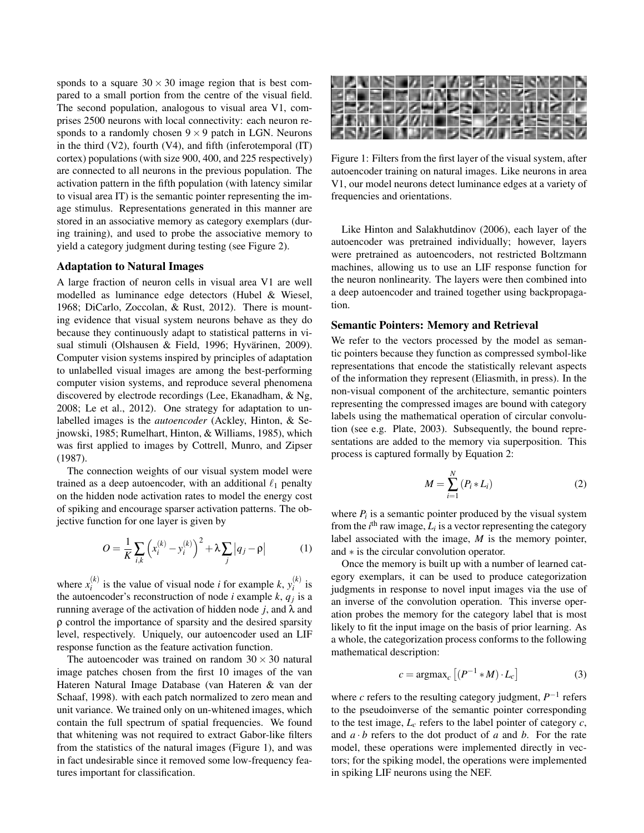sponds to a square  $30 \times 30$  image region that is best compared to a small portion from the centre of the visual field. The second population, analogous to visual area V1, comprises 2500 neurons with local connectivity: each neuron responds to a randomly chosen  $9 \times 9$  patch in LGN. Neurons in the third  $(V2)$ , fourth  $(V4)$ , and fifth (inferotemporal  $(IT)$ ) cortex) populations (with size 900, 400, and 225 respectively) are connected to all neurons in the previous population. The activation pattern in the fifth population (with latency similar to visual area IT) is the semantic pointer representing the image stimulus. Representations generated in this manner are stored in an associative memory as category exemplars (during training), and used to probe the associative memory to yield a category judgment during testing (see Figure 2).

#### Adaptation to Natural Images

A large fraction of neuron cells in visual area V1 are well modelled as luminance edge detectors (Hubel & Wiesel, 1968; DiCarlo, Zoccolan, & Rust, 2012). There is mounting evidence that visual system neurons behave as they do because they continuously adapt to statistical patterns in visual stimuli (Olshausen & Field, 1996; Hyvärinen, 2009). Computer vision systems inspired by principles of adaptation to unlabelled visual images are among the best-performing computer vision systems, and reproduce several phenomena discovered by electrode recordings (Lee, Ekanadham, & Ng, 2008; Le et al., 2012). One strategy for adaptation to unlabelled images is the *autoencoder* (Ackley, Hinton, & Sejnowski, 1985; Rumelhart, Hinton, & Williams, 1985), which was first applied to images by Cottrell, Munro, and Zipser (1987).

The connection weights of our visual system model were trained as a deep autoencoder, with an additional  $\ell_1$  penalty on the hidden node activation rates to model the energy cost of spiking and encourage sparser activation patterns. The objective function for one layer is given by

$$
O = \frac{1}{K} \sum_{i,k} \left( x_i^{(k)} - y_i^{(k)} \right)^2 + \lambda \sum_j |q_j - \rho| \tag{1}
$$

where  $x_i^{(k)}$  $j_i^{(k)}$  is the value of visual node *i* for example *k*,  $y_i^{(k)}$  $\int_{i}^{(k)}$  is the autoencoder's reconstruction of node *i* example  $k$ ,  $q_j$  is a running average of the activation of hidden node *j*, and λ and ρ control the importance of sparsity and the desired sparsity level, respectively. Uniquely, our autoencoder used an LIF response function as the feature activation function.

The autoencoder was trained on random  $30 \times 30$  natural image patches chosen from the first 10 images of the van Hateren Natural Image Database (van Hateren & van der Schaaf, 1998). with each patch normalized to zero mean and unit variance. We trained only on un-whitened images, which contain the full spectrum of spatial frequencies. We found that whitening was not required to extract Gabor-like filters from the statistics of the natural images (Figure 1), and was in fact undesirable since it removed some low-frequency features important for classification.



Figure 1: Filters from the first layer of the visual system, after autoencoder training on natural images. Like neurons in area V1, our model neurons detect luminance edges at a variety of frequencies and orientations.

Like Hinton and Salakhutdinov (2006), each layer of the autoencoder was pretrained individually; however, layers were pretrained as autoencoders, not restricted Boltzmann machines, allowing us to use an LIF response function for the neuron nonlinearity. The layers were then combined into a deep autoencoder and trained together using backpropagation.

#### Semantic Pointers: Memory and Retrieval

We refer to the vectors processed by the model as semantic pointers because they function as compressed symbol-like representations that encode the statistically relevant aspects of the information they represent (Eliasmith, in press). In the non-visual component of the architecture, semantic pointers representing the compressed images are bound with category labels using the mathematical operation of circular convolution (see e.g. Plate, 2003). Subsequently, the bound representations are added to the memory via superposition. This process is captured formally by Equation 2:

$$
M = \sum_{i=1}^{N} (P_i * L_i)
$$
 (2)

where  $P_i$  is a semantic pointer produced by the visual system from the  $i^{\text{th}}$  raw image,  $L_i$  is a vector representing the category label associated with the image, *M* is the memory pointer, and ∗ is the circular convolution operator.

Once the memory is built up with a number of learned category exemplars, it can be used to produce categorization judgments in response to novel input images via the use of an inverse of the convolution operation. This inverse operation probes the memory for the category label that is most likely to fit the input image on the basis of prior learning. As a whole, the categorization process conforms to the following mathematical description:

$$
c = \operatorname{argmax}_{c} \left[ \left( P^{-1} * M \right) \cdot L_{c} \right] \tag{3}
$$

where  $c$  refers to the resulting category judgment,  $P^{-1}$  refers to the pseudoinverse of the semantic pointer corresponding to the test image,  $L_c$  refers to the label pointer of category  $c$ , and  $a \cdot b$  refers to the dot product of  $a$  and  $b$ . For the rate model, these operations were implemented directly in vectors; for the spiking model, the operations were implemented in spiking LIF neurons using the NEF.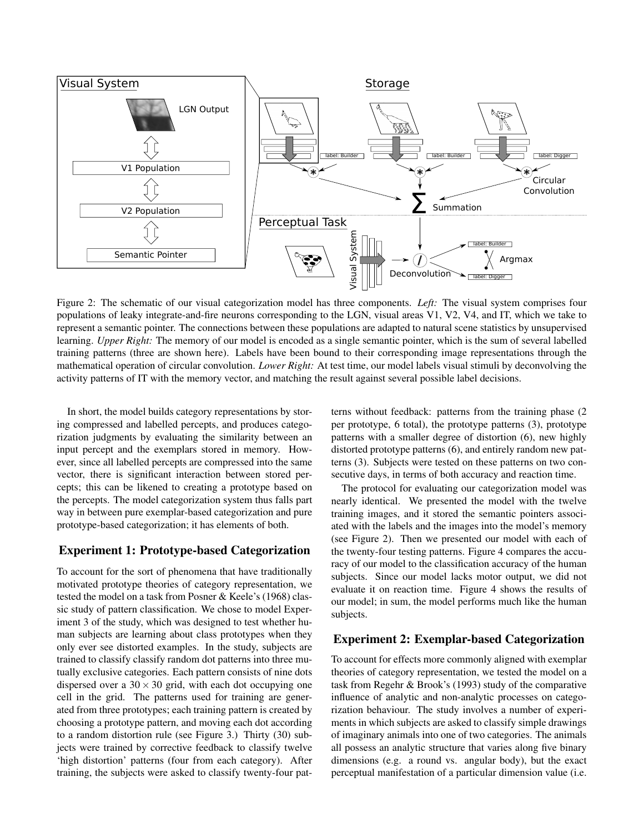

Figure 2: The schematic of our visual categorization model has three components. *Left:* The visual system comprises four populations of leaky integrate-and-fire neurons corresponding to the LGN, visual areas V1, V2, V4, and IT, which we take to represent a semantic pointer. The connections between these populations are adapted to natural scene statistics by unsupervised learning. *Upper Right:* The memory of our model is encoded as a single semantic pointer, which is the sum of several labelled training patterns (three are shown here). Labels have been bound to their corresponding image representations through the mathematical operation of circular convolution. *Lower Right:* At test time, our model labels visual stimuli by deconvolving the activity patterns of IT with the memory vector, and matching the result against several possible label decisions.

In short, the model builds category representations by storing compressed and labelled percepts, and produces categorization judgments by evaluating the similarity between an input percept and the exemplars stored in memory. However, since all labelled percepts are compressed into the same vector, there is significant interaction between stored percepts; this can be likened to creating a prototype based on the percepts. The model categorization system thus falls part way in between pure exemplar-based categorization and pure prototype-based categorization; it has elements of both.

## Experiment 1: Prototype-based Categorization

To account for the sort of phenomena that have traditionally motivated prototype theories of category representation, we tested the model on a task from Posner & Keele's (1968) classic study of pattern classification. We chose to model Experiment 3 of the study, which was designed to test whether human subjects are learning about class prototypes when they only ever see distorted examples. In the study, subjects are trained to classify classify random dot patterns into three mutually exclusive categories. Each pattern consists of nine dots dispersed over a  $30 \times 30$  grid, with each dot occupying one cell in the grid. The patterns used for training are generated from three prototypes; each training pattern is created by choosing a prototype pattern, and moving each dot according to a random distortion rule (see Figure 3.) Thirty (30) subjects were trained by corrective feedback to classify twelve 'high distortion' patterns (four from each category). After training, the subjects were asked to classify twenty-four patterns without feedback: patterns from the training phase (2 per prototype, 6 total), the prototype patterns (3), prototype patterns with a smaller degree of distortion (6), new highly distorted prototype patterns (6), and entirely random new patterns (3). Subjects were tested on these patterns on two consecutive days, in terms of both accuracy and reaction time.

The protocol for evaluating our categorization model was nearly identical. We presented the model with the twelve training images, and it stored the semantic pointers associated with the labels and the images into the model's memory (see Figure 2). Then we presented our model with each of the twenty-four testing patterns. Figure 4 compares the accuracy of our model to the classification accuracy of the human subjects. Since our model lacks motor output, we did not evaluate it on reaction time. Figure 4 shows the results of our model; in sum, the model performs much like the human subjects.

### Experiment 2: Exemplar-based Categorization

To account for effects more commonly aligned with exemplar theories of category representation, we tested the model on a task from Regehr & Brook's (1993) study of the comparative influence of analytic and non-analytic processes on categorization behaviour. The study involves a number of experiments in which subjects are asked to classify simple drawings of imaginary animals into one of two categories. The animals all possess an analytic structure that varies along five binary dimensions (e.g. a round vs. angular body), but the exact perceptual manifestation of a particular dimension value (i.e.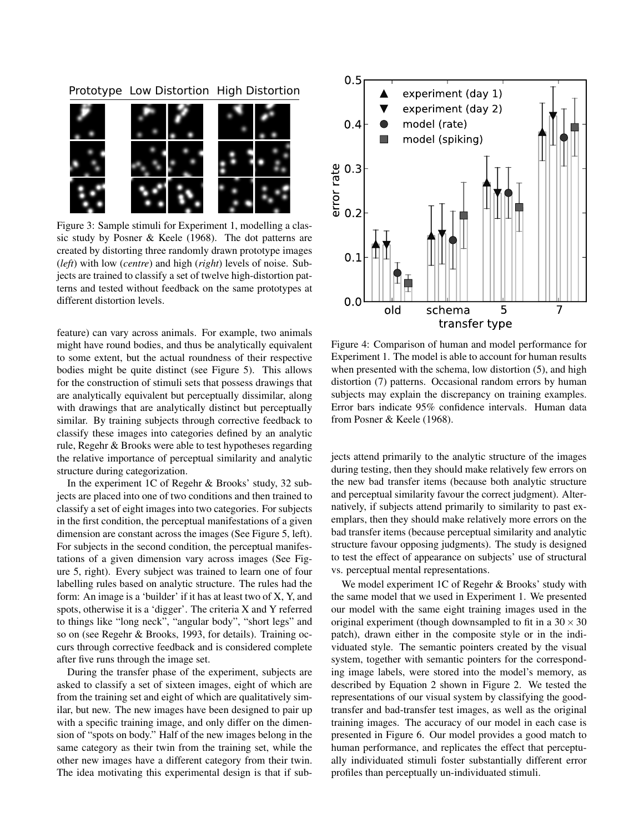### Prototype Low Distortion High Distortion



Figure 3: Sample stimuli for Experiment 1, modelling a classic study by Posner & Keele (1968). The dot patterns are created by distorting three randomly drawn prototype images (*left*) with low (*centre*) and high (*right*) levels of noise. Subjects are trained to classify a set of twelve high-distortion patterns and tested without feedback on the same prototypes at different distortion levels.

feature) can vary across animals. For example, two animals might have round bodies, and thus be analytically equivalent to some extent, but the actual roundness of their respective bodies might be quite distinct (see Figure 5). This allows for the construction of stimuli sets that possess drawings that are analytically equivalent but perceptually dissimilar, along with drawings that are analytically distinct but perceptually similar. By training subjects through corrective feedback to classify these images into categories defined by an analytic rule, Regehr & Brooks were able to test hypotheses regarding the relative importance of perceptual similarity and analytic structure during categorization.

In the experiment 1C of Regehr & Brooks' study, 32 subjects are placed into one of two conditions and then trained to classify a set of eight images into two categories. For subjects in the first condition, the perceptual manifestations of a given dimension are constant across the images (See Figure 5, left). For subjects in the second condition, the perceptual manifestations of a given dimension vary across images (See Figure 5, right). Every subject was trained to learn one of four labelling rules based on analytic structure. The rules had the form: An image is a 'builder' if it has at least two of X, Y, and spots, otherwise it is a 'digger'. The criteria X and Y referred to things like "long neck", "angular body", "short legs" and so on (see Regehr & Brooks, 1993, for details). Training occurs through corrective feedback and is considered complete after five runs through the image set.

During the transfer phase of the experiment, subjects are asked to classify a set of sixteen images, eight of which are from the training set and eight of which are qualitatively similar, but new. The new images have been designed to pair up with a specific training image, and only differ on the dimension of "spots on body." Half of the new images belong in the same category as their twin from the training set, while the other new images have a different category from their twin. The idea motivating this experimental design is that if sub-



Figure 4: Comparison of human and model performance for Experiment 1. The model is able to account for human results when presented with the schema, low distortion  $(5)$ , and high distortion (7) patterns. Occasional random errors by human subjects may explain the discrepancy on training examples. Error bars indicate 95% confidence intervals. Human data from Posner & Keele (1968).

jects attend primarily to the analytic structure of the images during testing, then they should make relatively few errors on the new bad transfer items (because both analytic structure and perceptual similarity favour the correct judgment). Alternatively, if subjects attend primarily to similarity to past exemplars, then they should make relatively more errors on the bad transfer items (because perceptual similarity and analytic structure favour opposing judgments). The study is designed to test the effect of appearance on subjects' use of structural vs. perceptual mental representations.

We model experiment 1C of Regehr & Brooks' study with the same model that we used in Experiment 1. We presented our model with the same eight training images used in the original experiment (though downsampled to fit in a  $30 \times 30$ patch), drawn either in the composite style or in the individuated style. The semantic pointers created by the visual system, together with semantic pointers for the corresponding image labels, were stored into the model's memory, as described by Equation 2 shown in Figure 2. We tested the representations of our visual system by classifying the goodtransfer and bad-transfer test images, as well as the original training images. The accuracy of our model in each case is presented in Figure 6. Our model provides a good match to human performance, and replicates the effect that perceptually individuated stimuli foster substantially different error profiles than perceptually un-individuated stimuli.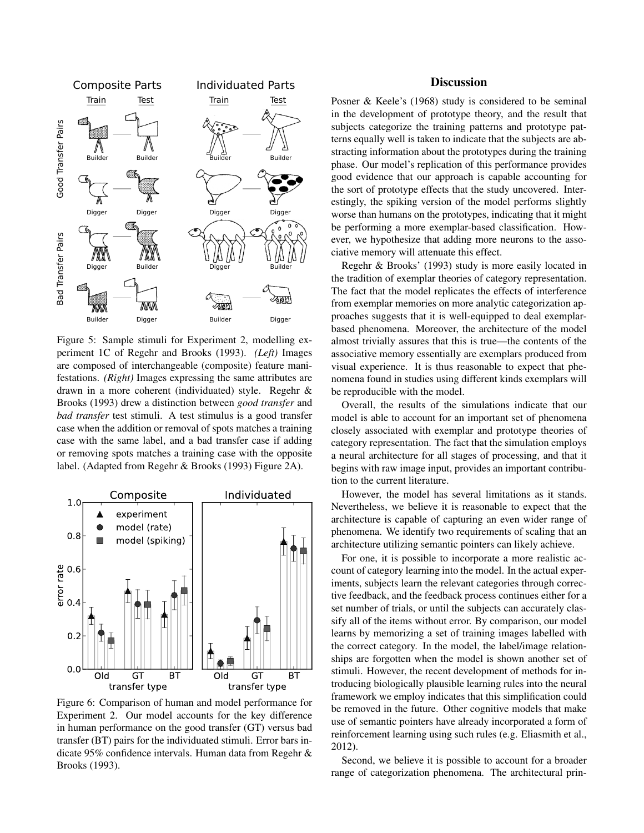

Figure 5: Sample stimuli for Experiment 2, modelling experiment 1C of Regehr and Brooks (1993). *(Left)* Images are composed of interchangeable (composite) feature manifestations. *(Right)* Images expressing the same attributes are drawn in a more coherent (individuated) style. Regehr & Brooks (1993) drew a distinction between *good transfer* and *bad transfer* test stimuli. A test stimulus is a good transfer case when the addition or removal of spots matches a training case with the same label, and a bad transfer case if adding or removing spots matches a training case with the opposite label. (Adapted from Regehr & Brooks (1993) Figure 2A).



Figure 6: Comparison of human and model performance for Experiment 2. Our model accounts for the key difference in human performance on the good transfer (GT) versus bad transfer (BT) pairs for the individuated stimuli. Error bars indicate 95% confidence intervals. Human data from Regehr & Brooks (1993).

### **Discussion**

Posner & Keele's (1968) study is considered to be seminal in the development of prototype theory, and the result that subjects categorize the training patterns and prototype patterns equally well is taken to indicate that the subjects are abstracting information about the prototypes during the training phase. Our model's replication of this performance provides good evidence that our approach is capable accounting for the sort of prototype effects that the study uncovered. Interestingly, the spiking version of the model performs slightly worse than humans on the prototypes, indicating that it might be performing a more exemplar-based classification. However, we hypothesize that adding more neurons to the associative memory will attenuate this effect.

Regehr & Brooks' (1993) study is more easily located in the tradition of exemplar theories of category representation. The fact that the model replicates the effects of interference from exemplar memories on more analytic categorization approaches suggests that it is well-equipped to deal exemplarbased phenomena. Moreover, the architecture of the model almost trivially assures that this is true—the contents of the associative memory essentially are exemplars produced from visual experience. It is thus reasonable to expect that phenomena found in studies using different kinds exemplars will be reproducible with the model.

Overall, the results of the simulations indicate that our model is able to account for an important set of phenomena closely associated with exemplar and prototype theories of category representation. The fact that the simulation employs a neural architecture for all stages of processing, and that it begins with raw image input, provides an important contribution to the current literature.

However, the model has several limitations as it stands. Nevertheless, we believe it is reasonable to expect that the architecture is capable of capturing an even wider range of phenomena. We identify two requirements of scaling that an architecture utilizing semantic pointers can likely achieve.

For one, it is possible to incorporate a more realistic account of category learning into the model. In the actual experiments, subjects learn the relevant categories through corrective feedback, and the feedback process continues either for a set number of trials, or until the subjects can accurately classify all of the items without error. By comparison, our model learns by memorizing a set of training images labelled with the correct category. In the model, the label/image relationships are forgotten when the model is shown another set of stimuli. However, the recent development of methods for introducing biologically plausible learning rules into the neural framework we employ indicates that this simplification could be removed in the future. Other cognitive models that make use of semantic pointers have already incorporated a form of reinforcement learning using such rules (e.g. Eliasmith et al., 2012).

Second, we believe it is possible to account for a broader range of categorization phenomena. The architectural prin